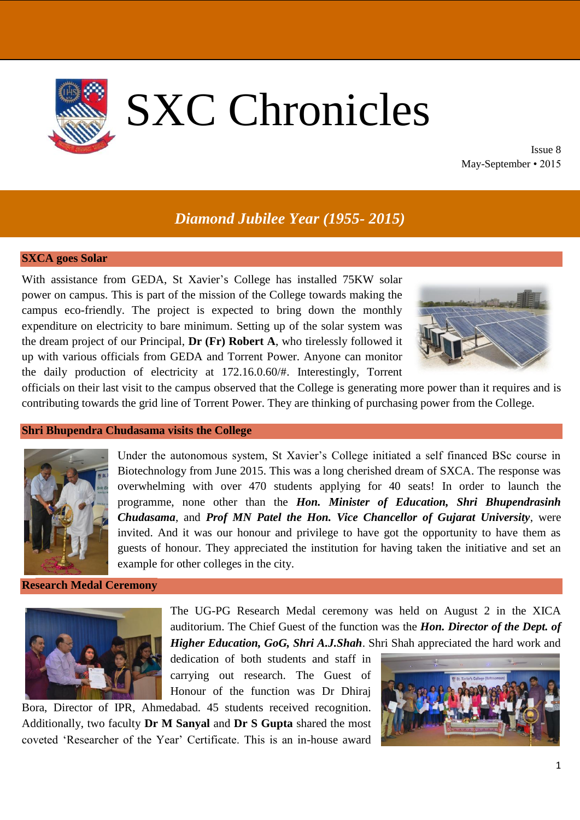

Issue 8 May-September • 2015

# *Diamond Jubilee Year (1955- 2015)*

## **SXCA goes Solar**

With assistance from GEDA, St Xavier's College has installed 75KW solar power on campus. This is part of the mission of the College towards making the campus eco-friendly. The project is expected to bring down the monthly expenditure on electricity to bare minimum. Setting up of the solar system was the dream project of our Principal, **Dr (Fr) Robert A**, who tirelessly followed it up with various officials from GEDA and Torrent Power. Anyone can monitor the daily production of electricity at 172.16.0.60/#. Interestingly, Torrent



officials on their last visit to the campus observed that the College is generating more power than it requires and is contributing towards the grid line of Torrent Power. They are thinking of purchasing power from the College.

#### **Shri Bhupendra Chudasama visits the College**



Under the autonomous system, St Xavier's College initiated a self financed BSc course in Biotechnology from June 2015. This was a long cherished dream of SXCA. The response was overwhelming with over 470 students applying for 40 seats! In order to launch the programme, none other than the *Hon. Minister of Education, Shri Bhupendrasinh Chudasama*, and *Prof MN Patel the Hon. Vice Chancellor of Gujarat University*, were invited. And it was our honour and privilege to have got the opportunity to have them as guests of honour. They appreciated the institution for having taken the initiative and set an example for other colleges in the city.

#### **Research Medal Ceremony**



The UG-PG Research Medal ceremony was held on August 2 in the XICA auditorium. The Chief Guest of the function was the *Hon. Director of the Dept. of Higher Education, GoG, Shri A.J.Shah*. Shri Shah appreciated the hard work and

dedication of both students and staff in carrying out research. The Guest of Honour of the function was Dr Dhiraj

Bora, Director of IPR, Ahmedabad. 45 students received recognition. Additionally, two faculty **Dr M Sanyal** and **Dr S Gupta** shared the most coveted 'Researcher of the Year' Certificate. This is an in-house award

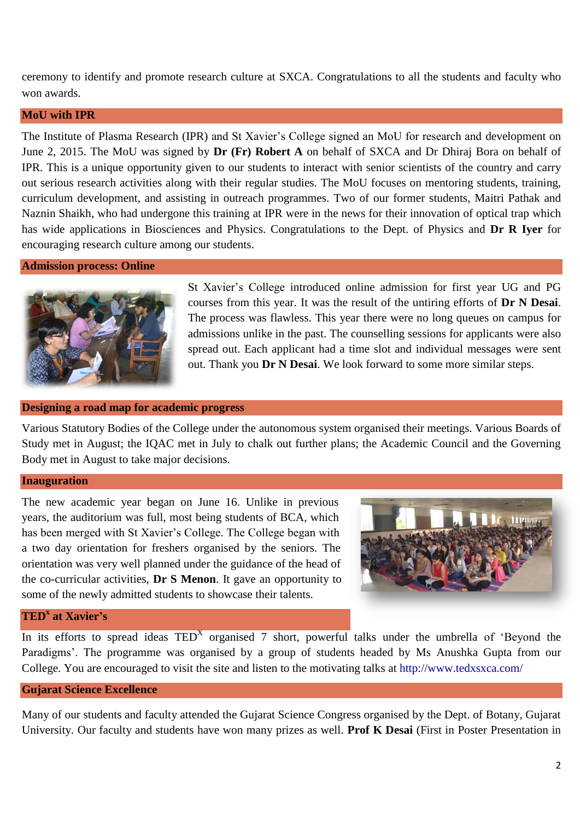ceremony to identify and promote research culture at SXCA. Congratulations to all the students and faculty who won awards.

## **MoU with IPR**

The Institute of Plasma Research (IPR) and St Xavier's College signed an MoU for research and development on June 2, 2015. The MoU was signed by **Dr (Fr) Robert A** on behalf of SXCA and Dr Dhiraj Bora on behalf of IPR. This is a unique opportunity given to our students to interact with senior scientists of the country and carry out serious research activities along with their regular studies. The MoU focuses on mentoring students, training, curriculum development, and assisting in outreach programmes. Two of our former students, Maitri Pathak and Naznin Shaikh, who had undergone this training at IPR were in the news for their innovation of optical trap which has wide applications in Biosciences and Physics. Congratulations to the Dept. of Physics and **Dr R Iyer** for encouraging research culture among our students.

## **Admission process: Online**



St Xavier's College introduced online admission for first year UG and PG courses from this year. It was the result of the untiring efforts of **Dr N Desai**. The process was flawless. This year there were no long queues on campus for admissions unlike in the past. The counselling sessions for applicants were also spread out. Each applicant had a time slot and individual messages were sent out. Thank you **Dr N Desai**. We look forward to some more similar steps.

## **Designing a road map for academic progress**

Various Statutory Bodies of the College under the autonomous system organised their meetings. Various Boards of Study met in August; the IQAC met in July to chalk out further plans; the Academic Council and the Governing Body met in August to take major decisions.

#### **Inauguration**

The new academic year began on June 16. Unlike in previous years, the auditorium was full, most being students of BCA, which has been merged with St Xavier's College. The College began with a two day orientation for freshers organised by the seniors. The orientation was very well planned under the guidance of the head of the co-curricular activities, **Dr S Menon**. It gave an opportunity to some of the newly admitted students to showcase their talents.



## **TED<sup>x</sup> at Xavier's**

In its efforts to spread ideas  $\text{TED}^X$  organised 7 short, powerful talks under the umbrella of 'Beyond the Paradigms'. The programme was organised by a group of students headed by Ms Anushka Gupta from our College. You are encouraged to visit the site and listen to the motivating talks at<http://www.tedxsxca.com/>

## **Gujarat Science Excellence**

Many of our students and faculty attended the Gujarat Science Congress organised by the Dept. of Botany, Gujarat University. Our faculty and students have won many prizes as well. **Prof K Desai** (First in Poster Presentation in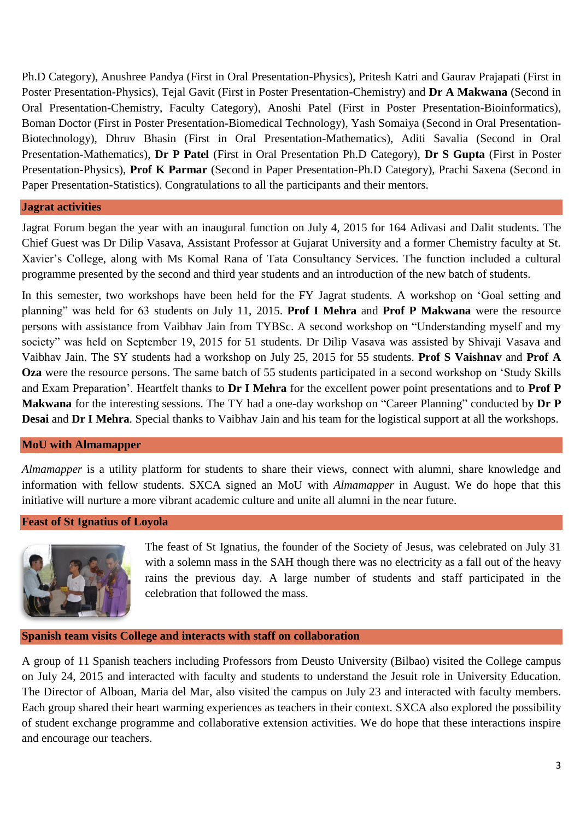Ph.D Category), Anushree Pandya (First in Oral Presentation-Physics), Pritesh Katri and Gaurav Prajapati (First in Poster Presentation-Physics), Tejal Gavit (First in Poster Presentation-Chemistry) and **Dr A Makwana** (Second in Oral Presentation-Chemistry, Faculty Category), Anoshi Patel (First in Poster Presentation-Bioinformatics), Boman Doctor (First in Poster Presentation-Biomedical Technology), Yash Somaiya (Second in Oral Presentation-Biotechnology), Dhruv Bhasin (First in Oral Presentation-Mathematics), Aditi Savalia (Second in Oral Presentation-Mathematics), **Dr P Patel** (First in Oral Presentation Ph.D Category), **Dr S Gupta** (First in Poster Presentation-Physics), **Prof K Parmar** (Second in Paper Presentation-Ph.D Category), Prachi Saxena (Second in Paper Presentation-Statistics). Congratulations to all the participants and their mentors.

## **Jagrat activities**

Jagrat Forum began the year with an inaugural function on July 4, 2015 for 164 Adivasi and Dalit students. The Chief Guest was Dr Dilip Vasava, Assistant Professor at Gujarat University and a former Chemistry faculty at St. Xavier's College, along with Ms Komal Rana of Tata Consultancy Services. The function included a cultural programme presented by the second and third year students and an introduction of the new batch of students.

In this semester, two workshops have been held for the FY Jagrat students. A workshop on 'Goal setting and planning" was held for 63 students on July 11, 2015. **Prof I Mehra** and **Prof P Makwana** were the resource persons with assistance from Vaibhav Jain from TYBSc. A second workshop on "Understanding myself and my society" was held on September 19, 2015 for 51 students. Dr Dilip Vasava was assisted by Shivaji Vasava and Vaibhav Jain. The SY students had a workshop on July 25, 2015 for 55 students. **Prof S Vaishnav** and **Prof A Oza** were the resource persons. The same batch of 55 students participated in a second workshop on 'Study Skills and Exam Preparation'. Heartfelt thanks to **Dr I Mehra** for the excellent power point presentations and to **Prof P Makwana** for the interesting sessions. The TY had a one-day workshop on "Career Planning" conducted by **Dr P Desai** and **Dr I Mehra**. Special thanks to Vaibhav Jain and his team for the logistical support at all the workshops.

## **MoU with Almamapper**

*Almamapper* is a utility platform for students to share their views, connect with alumni, share knowledge and information with fellow students. SXCA signed an MoU with *Almamapper* in August. We do hope that this initiative will nurture a more vibrant academic culture and unite all alumni in the near future.

#### **Feast of St Ignatius of Loyola**



The feast of St Ignatius, the founder of the Society of Jesus, was celebrated on July 31 with a solemn mass in the SAH though there was no electricity as a fall out of the heavy rains the previous day. A large number of students and staff participated in the celebration that followed the mass.

#### **Spanish team visits College and interacts with staff on collaboration**

A group of 11 Spanish teachers including Professors from Deusto University (Bilbao) visited the College campus on July 24, 2015 and interacted with faculty and students to understand the Jesuit role in University Education. The Director of Alboan, Maria del Mar, also visited the campus on July 23 and interacted with faculty members. Each group shared their heart warming experiences as teachers in their context. SXCA also explored the possibility of student exchange programme and collaborative extension activities. We do hope that these interactions inspire and encourage our teachers.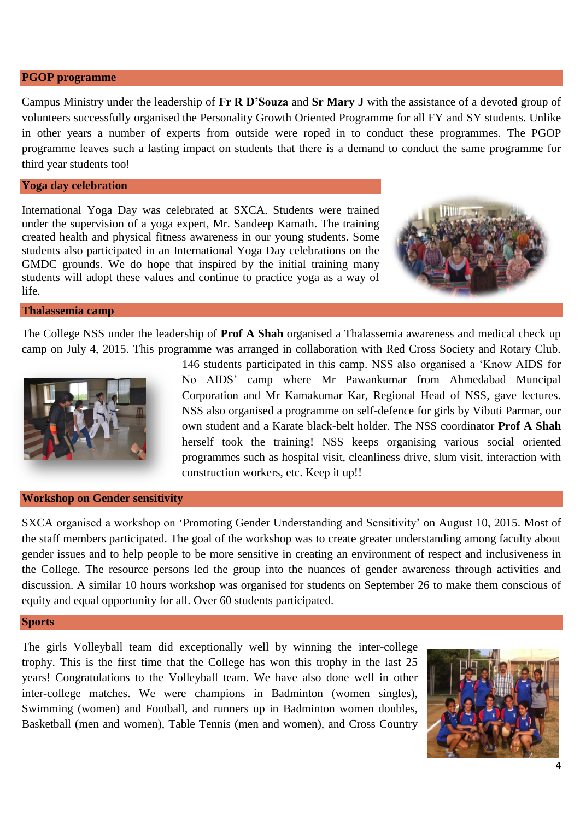#### **PGOP programme**

Campus Ministry under the leadership of **Fr R D'Souza** and **Sr Mary J** with the assistance of a devoted group of volunteers successfully organised the Personality Growth Oriented Programme for all FY and SY students. Unlike in other years a number of experts from outside were roped in to conduct these programmes. The PGOP programme leaves such a lasting impact on students that there is a demand to conduct the same programme for third year students too!

#### **Yoga day celebration**

International Yoga Day was celebrated at SXCA. Students were trained under the supervision of a yoga expert, Mr. Sandeep Kamath. The training created health and physical fitness awareness in our young students. Some students also participated in an International Yoga Day celebrations on the GMDC grounds. We do hope that inspired by the initial training many students will adopt these values and continue to practice yoga as a way of life.



#### **Thalassemia camp**

The College NSS under the leadership of **Prof A Shah** organised a Thalassemia awareness and medical check up camp on July 4, 2015. This programme was arranged in collaboration with Red Cross Society and Rotary Club.



146 students participated in this camp. NSS also organised a 'Know AIDS for No AIDS' camp where Mr Pawankumar from Ahmedabad Muncipal Corporation and Mr Kamakumar Kar, Regional Head of NSS, gave lectures. NSS also organised a programme on self-defence for girls by Vibuti Parmar, our own student and a Karate black-belt holder. The NSS coordinator **Prof A Shah** herself took the training! NSS keeps organising various social oriented programmes such as hospital visit, cleanliness drive, slum visit, interaction with construction workers, etc. Keep it up!!

#### **Workshop on Gender sensitivity**

SXCA organised a workshop on 'Promoting Gender Understanding and Sensitivity' on August 10, 2015. Most of the staff members participated. The goal of the workshop was to create greater understanding among faculty about gender issues and to help people to be more sensitive in creating an environment of respect and inclusiveness in the College. The resource persons led the group into the nuances of gender awareness through activities and discussion. A similar 10 hours workshop was organised for students on September 26 to make them conscious of equity and equal opportunity for all. Over 60 students participated.

#### **Sports**

The girls Volleyball team did exceptionally well by winning the inter-college trophy. This is the first time that the College has won this trophy in the last 25 years! Congratulations to the Volleyball team. We have also done well in other inter-college matches. We were champions in Badminton (women singles), Swimming (women) and Football, and runners up in Badminton women doubles, Basketball (men and women), Table Tennis (men and women), and Cross Country

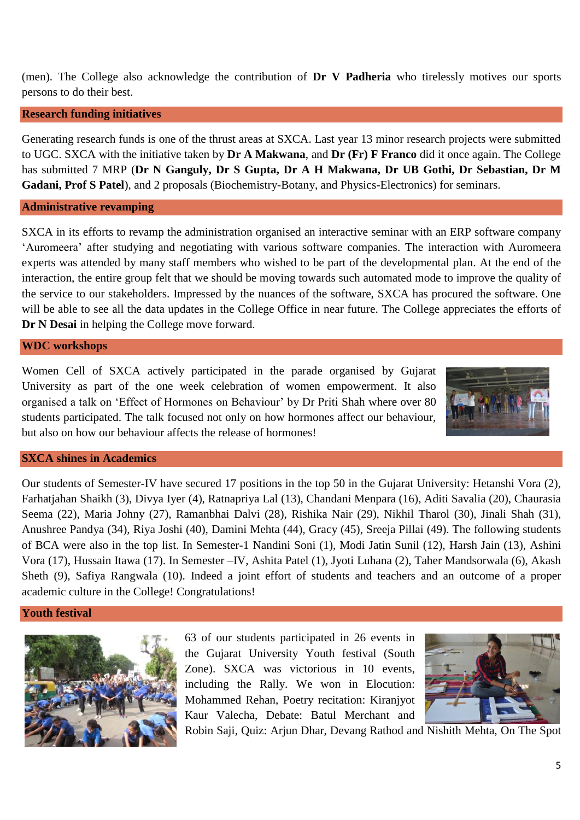(men). The College also acknowledge the contribution of **Dr V Padheria** who tirelessly motives our sports persons to do their best.

## **Research funding initiatives**

Generating research funds is one of the thrust areas at SXCA. Last year 13 minor research projects were submitted to UGC. SXCA with the initiative taken by **Dr A Makwana**, and **Dr (Fr) F Franco** did it once again. The College has submitted 7 MRP (**Dr N Ganguly, Dr S Gupta, Dr A H Makwana, Dr UB Gothi, Dr Sebastian, Dr M Gadani, Prof S Patel**), and 2 proposals (Biochemistry-Botany, and Physics-Electronics) for seminars.

#### **Administrative revamping**

SXCA in its efforts to revamp the administration organised an interactive seminar with an ERP software company 'Auromeera' after studying and negotiating with various software companies. The interaction with Auromeera experts was attended by many staff members who wished to be part of the developmental plan. At the end of the interaction, the entire group felt that we should be moving towards such automated mode to improve the quality of the service to our stakeholders. Impressed by the nuances of the software, SXCA has procured the software. One will be able to see all the data updates in the College Office in near future. The College appreciates the efforts of **Dr N Desai** in helping the College move forward.

**WDC workshops**

Women Cell of SXCA actively participated in the parade organised by Gujarat University as part of the one week celebration of women empowerment. It also organised a talk on 'Effect of Hormones on Behaviour' by Dr Priti Shah where over 80 students participated. The talk focused not only on how hormones affect our behaviour, but also on how our behaviour affects the release of hormones!



## **SXCA shines in Academics**

Our students of Semester-IV have secured 17 positions in the top 50 in the Gujarat University: Hetanshi Vora (2), Farhatjahan Shaikh (3), Divya Iyer (4), Ratnapriya Lal (13), Chandani Menpara (16), Aditi Savalia (20), Chaurasia Seema (22), Maria Johny (27), Ramanbhai Dalvi (28), Rishika Nair (29), Nikhil Tharol (30), Jinali Shah (31), Anushree Pandya (34), Riya Joshi (40), Damini Mehta (44), Gracy (45), Sreeja Pillai (49). The following students of BCA were also in the top list. In Semester-1 Nandini Soni (1), Modi Jatin Sunil (12), Harsh Jain (13), Ashini Vora (17), Hussain Itawa (17). In Semester –IV, Ashita Patel (1), Jyoti Luhana (2), Taher Mandsorwala (6), Akash Sheth (9), Safiya Rangwala (10). Indeed a joint effort of students and teachers and an outcome of a proper academic culture in the College! Congratulations!

**Youth festival**



63 of our students participated in 26 events in the Gujarat University Youth festival (South Zone). SXCA was victorious in 10 events, including the Rally. We won in Elocution: Mohammed Rehan, Poetry recitation: Kiranjyot Kaur Valecha, Debate: Batul Merchant and



Robin Saji, Quiz: Arjun Dhar, Devang Rathod and Nishith Mehta, On The Spot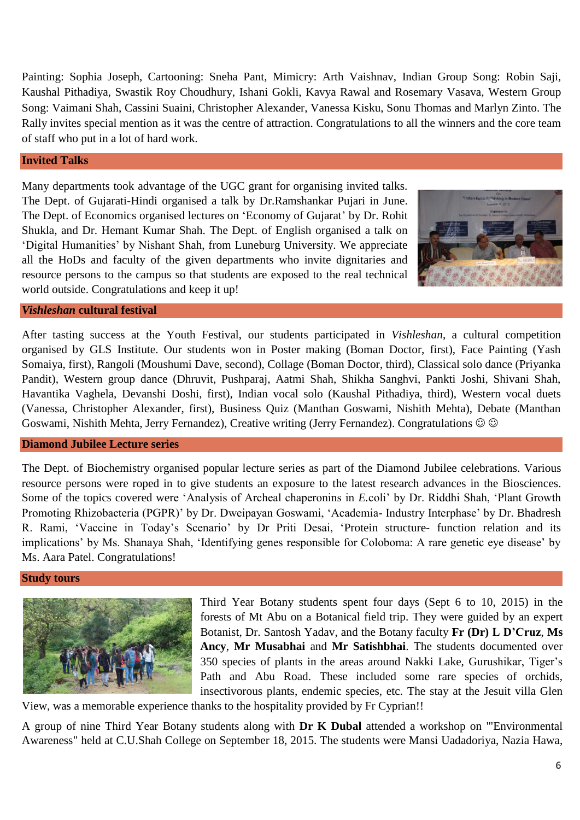Painting: Sophia Joseph, Cartooning: Sneha Pant, Mimicry: Arth Vaishnav, Indian Group Song: Robin Saji, Kaushal Pithadiya, Swastik Roy Choudhury, Ishani Gokli, Kavya Rawal and Rosemary Vasava, Western Group Song: Vaimani Shah, Cassini Suaini, Christopher Alexander, Vanessa Kisku, Sonu Thomas and Marlyn Zinto. The Rally invites special mention as it was the centre of attraction. Congratulations to all the winners and the core team of staff who put in a lot of hard work.

## **Invited Talks**

Many departments took advantage of the UGC grant for organising invited talks. The Dept. of Gujarati-Hindi organised a talk by Dr.Ramshankar Pujari in June. The Dept. of Economics organised lectures on 'Economy of Gujarat' by Dr. Rohit Shukla, and Dr. Hemant Kumar Shah. The Dept. of English organised a talk on 'Digital Humanities' by Nishant Shah, from Luneburg University. We appreciate all the HoDs and faculty of the given departments who invite dignitaries and resource persons to the campus so that students are exposed to the real technical world outside. Congratulations and keep it up!



## *Vishleshan* **cultural festival**

After tasting success at the Youth Festival, our students participated in *Vishleshan*, a cultural competition organised by GLS Institute. Our students won in Poster making (Boman Doctor, first), Face Painting (Yash Somaiya, first), Rangoli (Moushumi Dave, second), Collage (Boman Doctor, third), Classical solo dance (Priyanka Pandit), Western group dance (Dhruvit, Pushparaj, Aatmi Shah, Shikha Sanghvi, Pankti Joshi, Shivani Shah, Havantika Vaghela, Devanshi Doshi, first), Indian vocal solo (Kaushal Pithadiya, third), Western vocal duets (Vanessa, Christopher Alexander, first), Business Quiz (Manthan Goswami, Nishith Mehta), Debate (Manthan Goswami, Nishith Mehta, Jerry Fernandez), Creative writing (Jerry Fernandez). Congratulations

## **Diamond Jubilee Lecture series**

The Dept. of Biochemistry organised popular lecture series as part of the Diamond Jubilee celebrations. Various resource persons were roped in to give students an exposure to the latest research advances in the Biosciences. Some of the topics covered were 'Analysis of Archeal chaperonins in *E.*coli' by Dr. Riddhi Shah, 'Plant Growth Promoting Rhizobacteria (PGPR)' by Dr. Dweipayan Goswami, 'Academia- Industry Interphase' by Dr. Bhadresh R. Rami, 'Vaccine in Today's Scenario' by Dr Priti Desai, 'Protein structure- function relation and its implications' by Ms. Shanaya Shah, 'Identifying genes responsible for Coloboma: A rare genetic eye disease' by Ms. Aara Patel. Congratulations!

#### **Study tours**



Third Year Botany students spent four days (Sept 6 to 10, 2015) in the forests of Mt Abu on a Botanical field trip. They were guided by an expert Botanist, Dr. Santosh Yadav, and the Botany faculty **Fr (Dr) L D'Cruz**, **Ms Ancy**, **Mr Musabhai** and **Mr Satishbhai**. The students documented over 350 species of plants in the areas around Nakki Lake, Gurushikar, Tiger's Path and Abu Road. These included some rare species of orchids, insectivorous plants, endemic species, etc. The stay at the Jesuit villa Glen

View, was a memorable experience thanks to the hospitality provided by Fr Cyprian!!

A group of nine Third Year Botany students along with **Dr K Dubal** attended a workshop on '"Environmental Awareness" held at C.U.Shah College on September 18, 2015. The students were Mansi Uadadoriya, Nazia Hawa,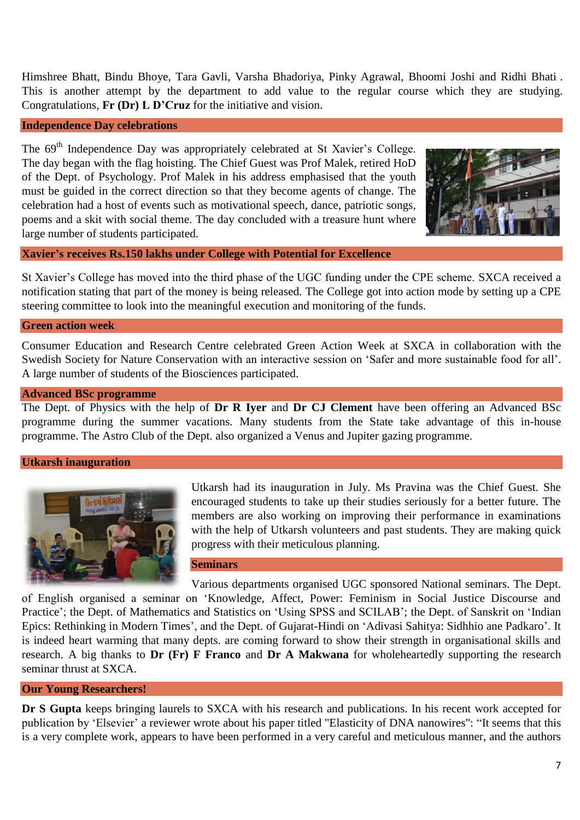Himshree Bhatt, Bindu Bhoye, Tara Gavli, Varsha Bhadoriya, Pinky Agrawal, Bhoomi Joshi and Ridhi Bhati . This is another attempt by the department to add value to the regular course which they are studying. Congratulations, **Fr (Dr) L D'Cruz** for the initiative and vision.

## **Independence Day celebrations**

The 69<sup>th</sup> Independence Day was appropriately celebrated at St Xavier's College. The day began with the flag hoisting. The Chief Guest was Prof Malek, retired HoD of the Dept. of Psychology. Prof Malek in his address emphasised that the youth must be guided in the correct direction so that they become agents of change. The celebration had a host of events such as motivational speech, dance, patriotic songs, poems and a skit with social theme. The day concluded with a treasure hunt where large number of students participated.



## **Xavier's receives Rs.150 lakhs under College with Potential for Excellence**

St Xavier's College has moved into the third phase of the UGC funding under the CPE scheme. SXCA received a notification stating that part of the money is being released. The College got into action mode by setting up a CPE steering committee to look into the meaningful execution and monitoring of the funds.

## **Green action week**

Consumer Education and Research Centre celebrated Green Action Week at SXCA in collaboration with the Swedish Society for Nature Conservation with an interactive session on 'Safer and more sustainable food for all'. A large number of students of the Biosciences participated.

#### **Advanced BSc programme**

The Dept. of Physics with the help of **Dr R Iyer** and **Dr CJ Clement** have been offering an Advanced BSc programme during the summer vacations. Many students from the State take advantage of this in-house programme. The Astro Club of the Dept. also organized a Venus and Jupiter gazing programme.

#### **Utkarsh inauguration**



Utkarsh had its inauguration in July. Ms Pravina was the Chief Guest. She encouraged students to take up their studies seriously for a better future. The members are also working on improving their performance in examinations with the help of Utkarsh volunteers and past students. They are making quick progress with their meticulous planning.

**Seminars**

Various departments organised UGC sponsored National seminars. The Dept. of English organised a seminar on 'Knowledge, Affect, Power: Feminism in Social Justice Discourse and Practice'; the Dept. of Mathematics and Statistics on 'Using SPSS and SCILAB'; the Dept. of Sanskrit on 'Indian Epics: Rethinking in Modern Times', and the Dept. of Gujarat-Hindi on 'Adivasi Sahitya: Sidhhio ane Padkaro'. It is indeed heart warming that many depts. are coming forward to show their strength in organisational skills and research. A big thanks to **Dr (Fr) F Franco** and **Dr A Makwana** for wholeheartedly supporting the research seminar thrust at SXCA.

#### **Our Young Researchers!**

**Dr S Gupta** keeps bringing laurels to SXCA with his research and publications. In his recent work accepted for publication by 'Elsevier' a reviewer wrote about his paper titled "Elasticity of DNA nanowires": "It seems that this is a very complete work, appears to have been performed in a very careful and meticulous manner, and the authors